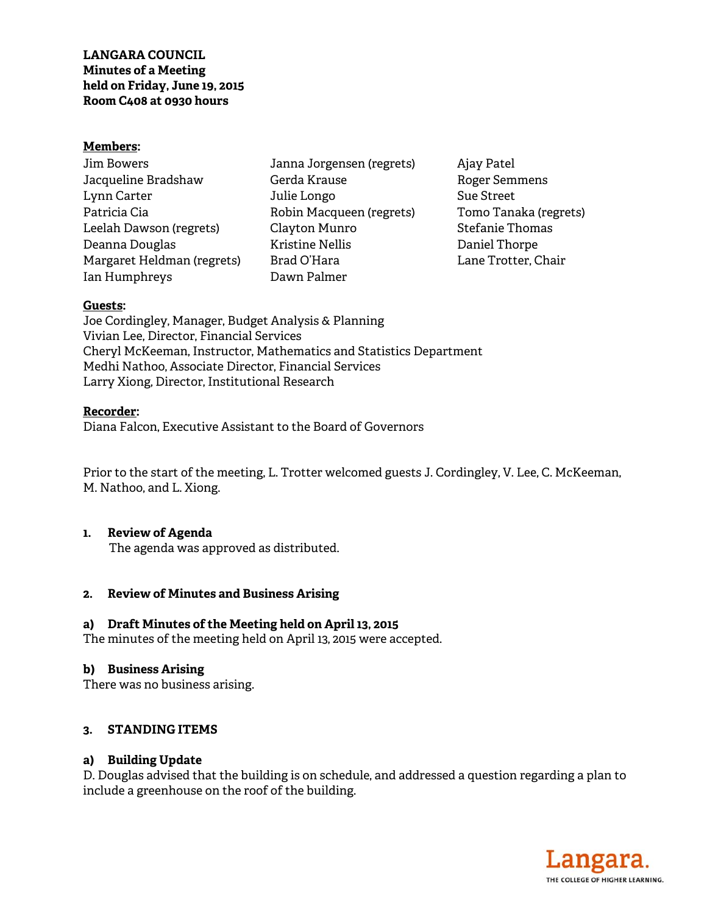#### **Members:**

| <b>Jim Bowers</b>          |
|----------------------------|
| Jacqueline Bradshaw        |
| Lynn Carter                |
| Patricia Cia               |
| Leelah Dawson (regrets)    |
| Deanna Douglas             |
| Margaret Heldman (regrets) |
| Ian Humphreys              |

Janna Jorgensen (regrets) Gerda Krause Julie Longo Robin Macqueen (regrets) Clayton Munro Kristine Nellis Brad O'Hara Dawn Palmer

Ajay Patel Roger Semmens Sue Street Tomo Tanaka (regrets) Stefanie Thomas Daniel Thorpe Lane Trotter, Chair

#### **Guests:**

Joe Cordingley, Manager, Budget Analysis & Planning Vivian Lee, Director, Financial Services Cheryl McKeeman, Instructor, Mathematics and Statistics Department Medhi Nathoo, Associate Director, Financial Services Larry Xiong, Director, Institutional Research

#### **Recorder:**

Diana Falcon, Executive Assistant to the Board of Governors

Prior to the start of the meeting, L. Trotter welcomed guests J. Cordingley, V. Lee, C. McKeeman, M. Nathoo, and L. Xiong.

#### **1. Review of Agenda**

The agenda was approved as distributed.

### **2. Review of Minutes and Business Arising**

### **a) Draft Minutes of the Meeting held on April 13, 2015**

The minutes of the meeting held on April 13, 2015 were accepted.

### **b) Business Arising**

There was no business arising.

### **3. STANDING ITEMS**

#### **a) Building Update**

D. Douglas advised that the building is on schedule, and addressed a question regarding a plan to include a greenhouse on the roof of the building.

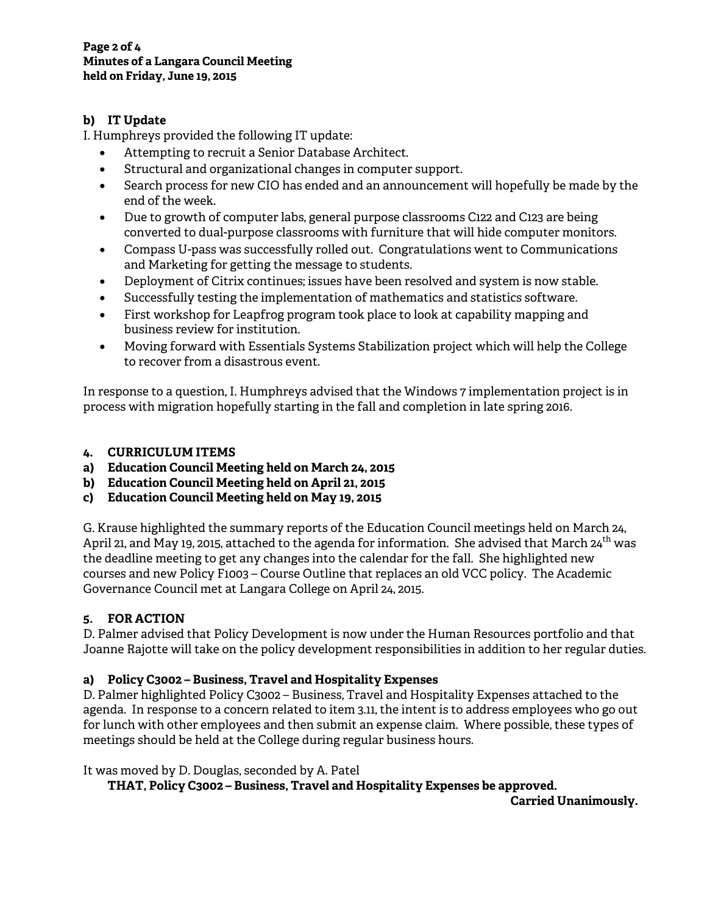# **b) IT Update**

I. Humphreys provided the following IT update:

- Attempting to recruit a Senior Database Architect.
- Structural and organizational changes in computer support.
- Search process for new CIO has ended and an announcement will hopefully be made by the end of the week.
- Due to growth of computer labs, general purpose classrooms C122 and C123 are being converted to dual-purpose classrooms with furniture that will hide computer monitors.
- Compass U-pass was successfully rolled out. Congratulations went to Communications and Marketing for getting the message to students.
- Deployment of Citrix continues; issues have been resolved and system is now stable.
- Successfully testing the implementation of mathematics and statistics software.
- First workshop for Leapfrog program took place to look at capability mapping and business review for institution.
- Moving forward with Essentials Systems Stabilization project which will help the College to recover from a disastrous event.

In response to a question, I. Humphreys advised that the Windows 7 implementation project is in process with migration hopefully starting in the fall and completion in late spring 2016.

## **4. CURRICULUM ITEMS**

- **a) Education Council Meeting held on March 24, 2015**
- **b) Education Council Meeting held on April 21, 2015**
- **c) Education Council Meeting held on May 19, 2015**

G. Krause highlighted the summary reports of the Education Council meetings held on March 24, April 21, and May 19, 2015, attached to the agenda for information. She advised that March 24<sup>th</sup> was the deadline meeting to get any changes into the calendar for the fall. She highlighted new courses and new Policy F1003 – Course Outline that replaces an old VCC policy. The Academic Governance Council met at Langara College on April 24, 2015.

# **5. FOR ACTION**

D. Palmer advised that Policy Development is now under the Human Resources portfolio and that Joanne Rajotte will take on the policy development responsibilities in addition to her regular duties.

# **a) Policy C3002 – Business, Travel and Hospitality Expenses**

D. Palmer highlighted Policy C3002 – Business, Travel and Hospitality Expenses attached to the agenda. In response to a concern related to item 3.11, the intent is to address employees who go out for lunch with other employees and then submit an expense claim. Where possible, these types of meetings should be held at the College during regular business hours.

It was moved by D. Douglas, seconded by A. Patel

 **THAT, Policy C3002 – Business, Travel and Hospitality Expenses be approved.** 

**Carried Unanimously.**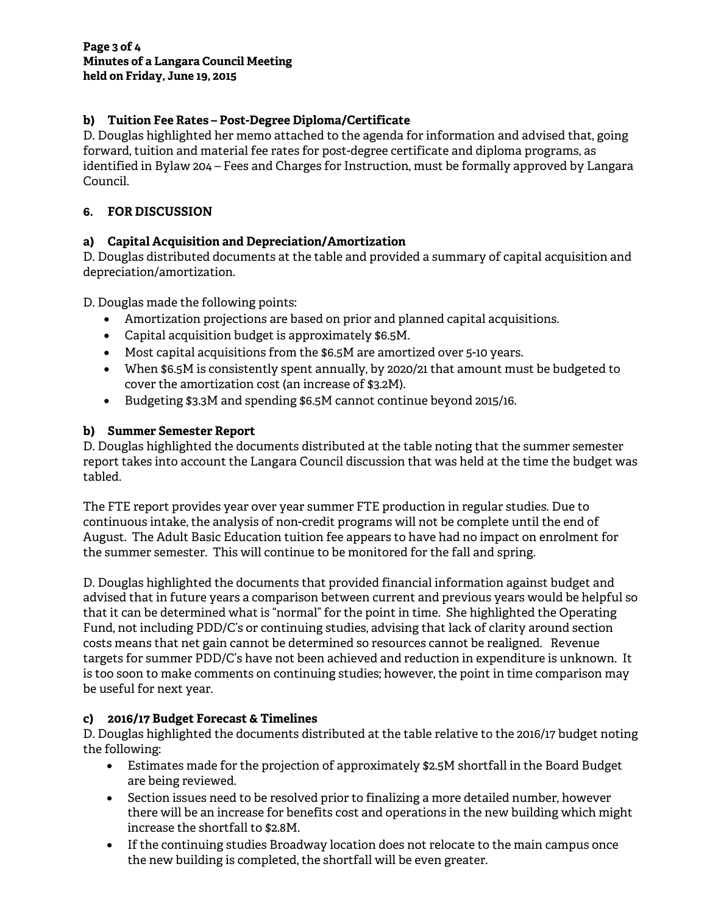## **b) Tuition Fee Rates – Post-Degree Diploma/Certificate**

D. Douglas highlighted her memo attached to the agenda for information and advised that, going forward, tuition and material fee rates for post-degree certificate and diploma programs, as identified in Bylaw 204 – Fees and Charges for Instruction, must be formally approved by Langara Council.

## **6. FOR DISCUSSION**

# **a) Capital Acquisition and Depreciation/Amortization**

D. Douglas distributed documents at the table and provided a summary of capital acquisition and depreciation/amortization.

D. Douglas made the following points:

- Amortization projections are based on prior and planned capital acquisitions.
- Capital acquisition budget is approximately \$6.5M.
- Most capital acquisitions from the \$6.5M are amortized over 5-10 years.
- When \$6.5M is consistently spent annually, by 2020/21 that amount must be budgeted to cover the amortization cost (an increase of \$3.2M).
- Budgeting \$3.3M and spending \$6.5M cannot continue beyond 2015/16.

## **b) Summer Semester Report**

D. Douglas highlighted the documents distributed at the table noting that the summer semester report takes into account the Langara Council discussion that was held at the time the budget was tabled.

The FTE report provides year over year summer FTE production in regular studies. Due to continuous intake, the analysis of non-credit programs will not be complete until the end of August. The Adult Basic Education tuition fee appears to have had no impact on enrolment for the summer semester. This will continue to be monitored for the fall and spring.

D. Douglas highlighted the documents that provided financial information against budget and advised that in future years a comparison between current and previous years would be helpful so that it can be determined what is "normal" for the point in time. She highlighted the Operating Fund, not including PDD/C's or continuing studies, advising that lack of clarity around section costs means that net gain cannot be determined so resources cannot be realigned. Revenue targets for summer PDD/C's have not been achieved and reduction in expenditure is unknown. It is too soon to make comments on continuing studies; however, the point in time comparison may be useful for next year.

### **c) 2016/17 Budget Forecast & Timelines**

D. Douglas highlighted the documents distributed at the table relative to the 2016/17 budget noting the following:

- Estimates made for the projection of approximately \$2.5M shortfall in the Board Budget are being reviewed.
- Section issues need to be resolved prior to finalizing a more detailed number, however there will be an increase for benefits cost and operations in the new building which might increase the shortfall to \$2.8M.
- If the continuing studies Broadway location does not relocate to the main campus once the new building is completed, the shortfall will be even greater.